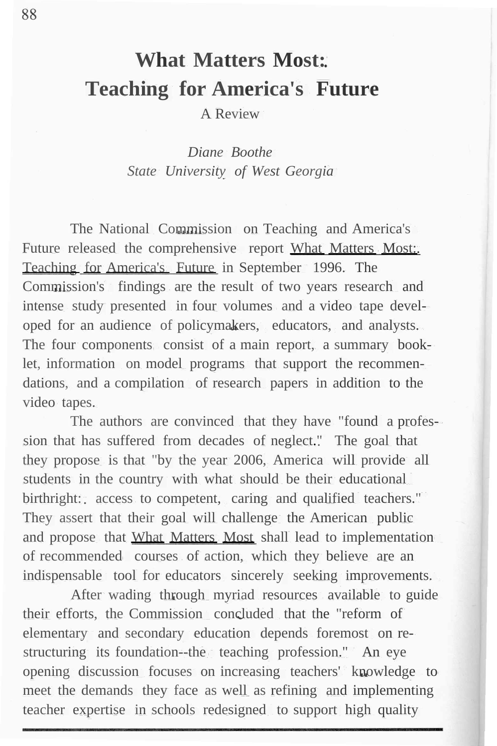# **What Matters Most: Teaching for America's Future**

A Review

*Diane Boothe State University of West Georgia*

The National Commission on Teaching and America's Future released the comprehensive report What Matters Most: Teaching for America's Future in September 1996. The Commission's findings are the result of two years research and intense study presented in four volumes and a video tape developed for an audience of policymakers, educators, and analysts. The four components consist of a main report, a summary booklet, information on model programs that support the recommendations, and a compilation of research papers in addition to the video tapes.

The authors are convinced that they have "found a profession that has suffered from decades of neglect." The goal that they propose is that "by the year 2006, America will provide all students in the country with what should be their educational birthright: access to competent, caring and qualified teachers." They assert that their goal will challenge the American public and propose that What Matters Most shall lead to implementation of recommended courses of action, which they believe are an indispensable tool for educators sincerely seeking improvements.

After wading through myriad resources available to guide their efforts, the Commission concluded that the "reform of elementary and secondary education depends foremost on restructuring its foundation--the teaching profession." An eye opening discussion focuses on increasing teachers' knowledge to meet the demands they face as well as refining and implementing teacher expertise in schools redesigned to support high quality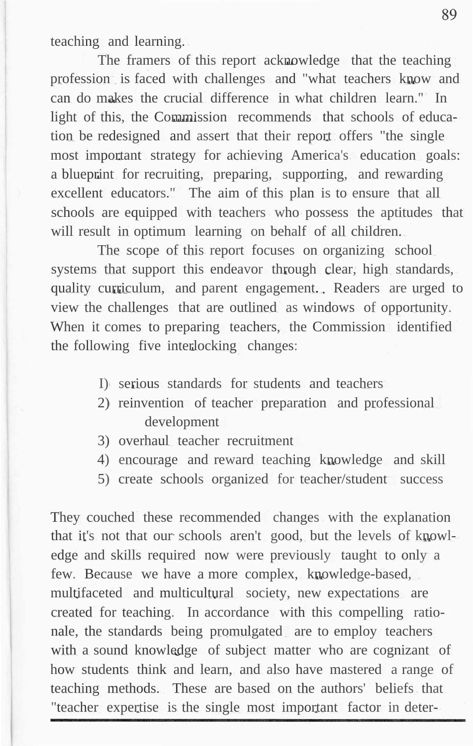teaching and learning.

The framers of this report acknowledge that the teaching profession is faced with challenges and "what teachers know and can do makes the crucial difference in what children learn." In light of this, the Commission recommends that schools of education be redesigned and assert that their report offers "the single most important strategy for achieving America's education goals: a blueprint for recruiting, preparing, supporting, and rewarding excellent educators." The aim of this plan is to ensure that all schools are equipped with teachers who possess the aptitudes that will result in optimum learning on behalf of all children.

The scope of this report focuses on organizing school systems that support this endeavor through clear, high standards, quality curriculum, and parent engagement. Readers are urged to view the challenges that are outlined as windows of opportunity. When it comes to preparing teachers, the Commission identified the following five interlocking changes:

- I) serious standards for students and teachers
- 2) reinvention of teacher preparation and professional development
- 3) overhaul teacher recruitment
- 4) encourage and reward teaching knowledge and skill
- 5) create schools organized for teacher/student success

They couched these recommended changes with the explanation that it's not that our schools aren't good, but the levels of knowledge and skills required now were previously taught to only a few. Because we have a more complex, knowledge-based, multifaceted and multicultural society, new expectations are created for teaching. In accordance with this compelling rationale, the standards being promulgated are to employ teachers with a sound knowledge of subject matter who are cognizant of how students think and learn, and also have mastered a range of teaching methods. These are based on the authors' beliefs that "teacher expertise is the single most important factor in deter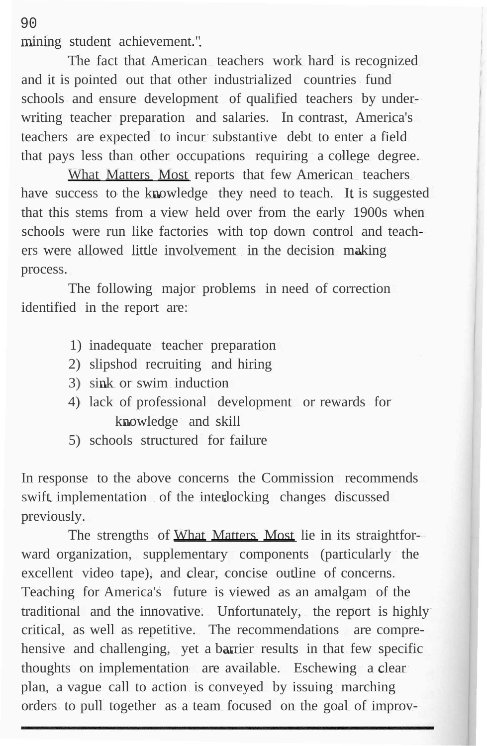mining student achievement."

The fact that American teachers work hard is recognized and it is pointed out that other industrialized countries fund schools and ensure development of qualified teachers by underwriting teacher preparation and salaries. In contrast, America's teachers are expected to incur substantive debt to enter a field that pays less than other occupations requiring a college degree.

What Matters Most reports that few American teachers have success to the knowledge they need to teach. It is suggested that this stems from a view held over from the early 1900s when schools were run like factories with top down control and teachers were allowed little involvement in the decision making process.

The following major problems in need of correction identified in the report are:

- 1) inadequate teacher preparation
- 2) slipshod recruiting and hiring
- 3) sink or swim induction
- 4) lack of professional development or rewards for knowledge and skill
- 5) schools structured for failure

In response to the above concerns the Commission recommends swift implementation of the interlocking changes discussed previously.

The strengths of What Matters Most lie in its straightforward organization, supplementary components (particularly the excellent video tape), and clear, concise outline of concerns. Teaching for America's future is viewed as an amalgam of the traditional and the innovative. Unfortunately, the report is highly critical, as well as repetitive. The recommendations are comprehensive and challenging, yet a barrier results in that few specific thoughts on implementation are available. Eschewing a clear plan, a vague call to action is conveyed by issuing marching orders to pull together as a team focused on the goal of improv-

90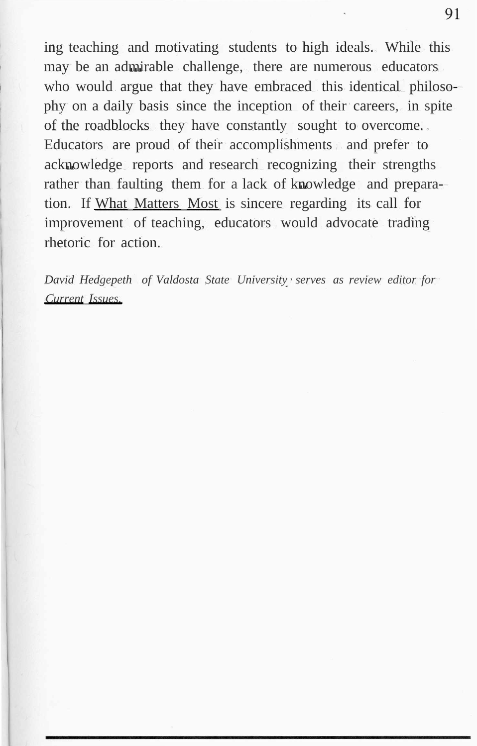ing teaching and motivating students to high ideals. While this may be an admirable challenge, there are numerous educators who would argue that they have embraced this identical philosophy on a daily basis since the inception of their careers, in spite of the roadblocks they have constantly sought to overcome. Educators are proud of their accomplishments and prefer to acknowledge reports and research recognizing their strengths rather than faulting them for a lack of knowledge and preparation. If What Matters Most is sincere regarding its call for improvement of teaching, educators would advocate trading rhetoric for action.

*David Hedgepeth of Valdosta State University serves as review editor for Current Issues.*